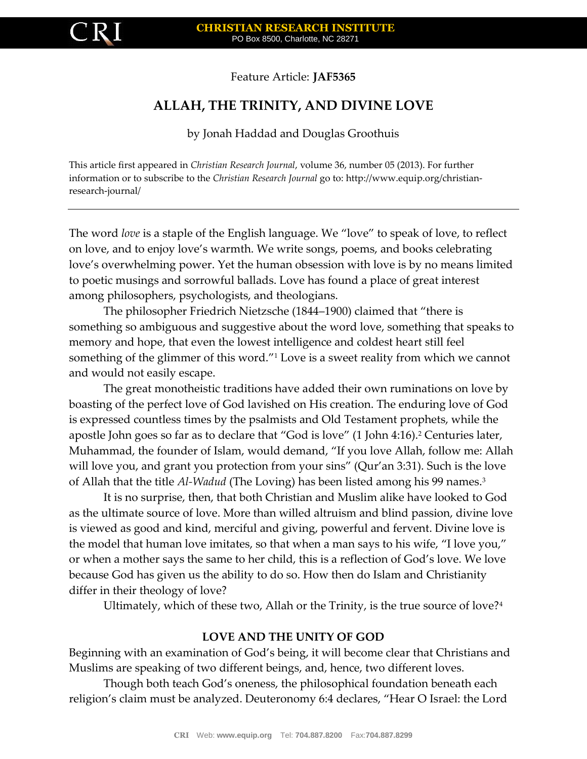# Feature Article: **JAF5365**

# **ALLAH, THE TRINITY, AND DIVINE LOVE**

by Jonah Haddad and Douglas Groothuis

This article first appeared in *Christian Research Journal*, volume 36, number 05 (2013). For further information or to subscribe to the *Christian Research Journal* go to: http://www.equip.org/christianresearch-journal/

The word *love* is a staple of the English language. We "love" to speak of love, to reflect on love, and to enjoy love's warmth. We write songs, poems, and books celebrating love's overwhelming power. Yet the human obsession with love is by no means limited to poetic musings and sorrowful ballads. Love has found a place of great interest among philosophers, psychologists, and theologians.

The philosopher Friedrich Nietzsche (1844–1900) claimed that "there is something so ambiguous and suggestive about the word love, something that speaks to memory and hope, that even the lowest intelligence and coldest heart still feel something of the glimmer of this word."<sup>1</sup> Love is a sweet reality from which we cannot and would not easily escape.

The great monotheistic traditions have added their own ruminations on love by boasting of the perfect love of God lavished on His creation. The enduring love of God is expressed countless times by the psalmists and Old Testament prophets, while the apostle John goes so far as to declare that "God is love" (1 John 4:16).<sup>2</sup> Centuries later, Muhammad, the founder of Islam, would demand, "If you love Allah, follow me: Allah will love you, and grant you protection from your sins" (Qur'an 3:31). Such is the love of Allah that the title *Al-Wadud* (The Loving) has been listed among his 99 names.<sup>3</sup>

It is no surprise, then, that both Christian and Muslim alike have looked to God as the ultimate source of love. More than willed altruism and blind passion, divine love is viewed as good and kind, merciful and giving, powerful and fervent. Divine love is the model that human love imitates, so that when a man says to his wife, "I love you," or when a mother says the same to her child, this is a reflection of God's love. We love because God has given us the ability to do so. How then do Islam and Christianity differ in their theology of love?

Ultimately, which of these two, Allah or the Trinity, is the true source of love?<sup>4</sup>

# **LOVE AND THE UNITY OF GOD**

Beginning with an examination of God's being, it will become clear that Christians and Muslims are speaking of two different beings, and, hence, two different loves.

Though both teach God's oneness, the philosophical foundation beneath each religion's claim must be analyzed. Deuteronomy 6:4 declares, "Hear O Israel: the Lord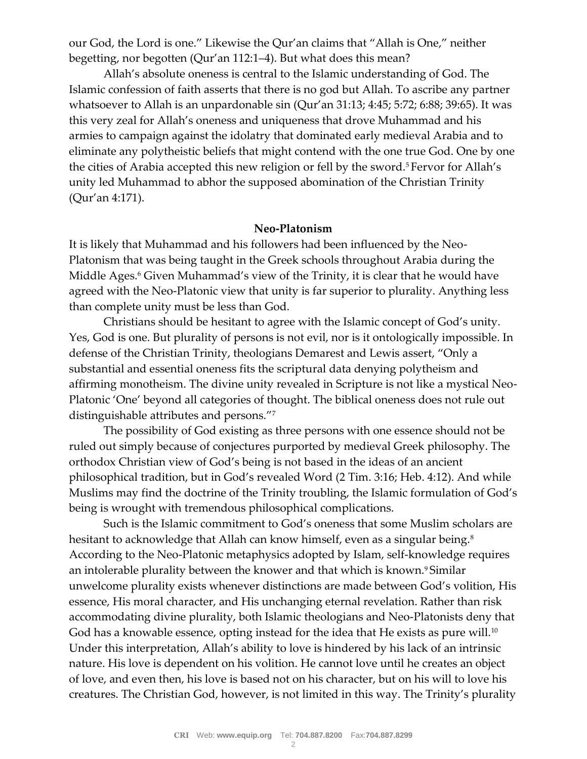our God, the Lord is one." Likewise the Qur'an claims that "Allah is One," neither begetting, nor begotten (Qur'an 112:1–4). But what does this mean?

Allah's absolute oneness is central to the Islamic understanding of God. The Islamic confession of faith asserts that there is no god but Allah. To ascribe any partner whatsoever to Allah is an unpardonable sin (Qur'an 31:13; 4:45; 5:72; 6:88; 39:65). It was this very zeal for Allah's oneness and uniqueness that drove Muhammad and his armies to campaign against the idolatry that dominated early medieval Arabia and to eliminate any polytheistic beliefs that might contend with the one true God. One by one the cities of Arabia accepted this new religion or fell by the sword.<sup>5</sup> Fervor for Allah's unity led Muhammad to abhor the supposed abomination of the Christian Trinity (Qur'an 4:171).

### **Neo-Platonism**

It is likely that Muhammad and his followers had been influenced by the Neo-Platonism that was being taught in the Greek schools throughout Arabia during the Middle Ages.<sup>6</sup> Given Muhammad's view of the Trinity, it is clear that he would have agreed with the Neo-Platonic view that unity is far superior to plurality. Anything less than complete unity must be less than God.

Christians should be hesitant to agree with the Islamic concept of God's unity. Yes, God is one. But plurality of persons is not evil, nor is it ontologically impossible. In defense of the Christian Trinity, theologians Demarest and Lewis assert, "Only a substantial and essential oneness fits the scriptural data denying polytheism and affirming monotheism. The divine unity revealed in Scripture is not like a mystical Neo-Platonic 'One' beyond all categories of thought. The biblical oneness does not rule out distinguishable attributes and persons."<sup>7</sup>

The possibility of God existing as three persons with one essence should not be ruled out simply because of conjectures purported by medieval Greek philosophy. The orthodox Christian view of God's being is not based in the ideas of an ancient philosophical tradition, but in God's revealed Word (2 Tim. 3:16; Heb. 4:12). And while Muslims may find the doctrine of the Trinity troubling, the Islamic formulation of God's being is wrought with tremendous philosophical complications.

Such is the Islamic commitment to God's oneness that some Muslim scholars are hesitant to acknowledge that Allah can know himself, even as a singular being.<sup>8</sup> According to the Neo-Platonic metaphysics adopted by Islam, self-knowledge requires an intolerable plurality between the knower and that which is known.<sup>9</sup> Similar unwelcome plurality exists whenever distinctions are made between God's volition, His essence, His moral character, and His unchanging eternal revelation. Rather than risk accommodating divine plurality, both Islamic theologians and Neo-Platonists deny that God has a knowable essence, opting instead for the idea that He exists as pure will.<sup>10</sup> Under this interpretation, Allah's ability to love is hindered by his lack of an intrinsic nature. His love is dependent on his volition. He cannot love until he creates an object of love, and even then, his love is based not on his character, but on his will to love his creatures. The Christian God, however, is not limited in this way. The Trinity's plurality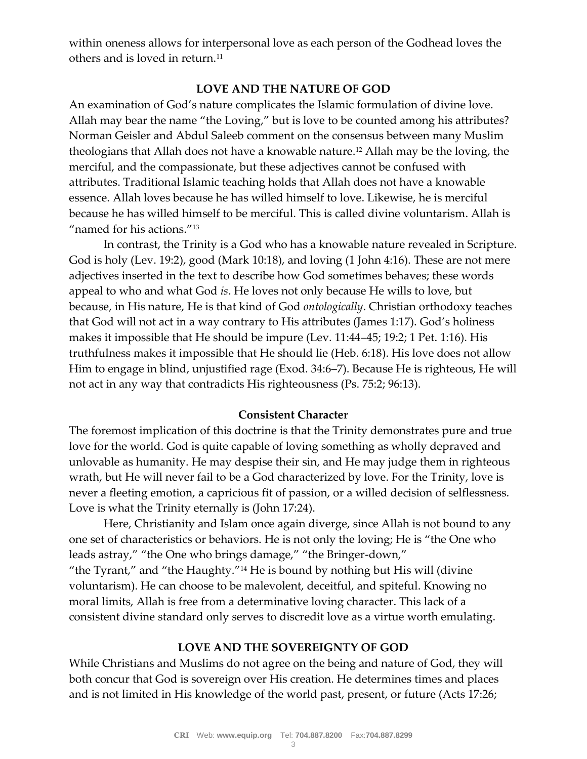within oneness allows for interpersonal love as each person of the Godhead loves the others and is loved in return.<sup>11</sup>

## **LOVE AND THE NATURE OF GOD**

An examination of God's nature complicates the Islamic formulation of divine love. Allah may bear the name "the Loving," but is love to be counted among his attributes? Norman Geisler and Abdul Saleeb comment on the consensus between many Muslim theologians that Allah does not have a knowable nature.<sup>12</sup> Allah may be the loving, the merciful, and the compassionate, but these adjectives cannot be confused with attributes. Traditional Islamic teaching holds that Allah does not have a knowable essence. Allah loves because he has willed himself to love. Likewise, he is merciful because he has willed himself to be merciful. This is called divine voluntarism. Allah is "named for his actions."<sup>13</sup>

In contrast, the Trinity is a God who has a knowable nature revealed in Scripture. God is holy (Lev. 19:2), good (Mark 10:18), and loving (1 John 4:16). These are not mere adjectives inserted in the text to describe how God sometimes behaves; these words appeal to who and what God *is*. He loves not only because He wills to love, but because, in His nature, He is that kind of God *ontologically*. Christian orthodoxy teaches that God will not act in a way contrary to His attributes (James 1:17). God's holiness makes it impossible that He should be impure (Lev. 11:44–45; 19:2; 1 Pet. 1:16). His truthfulness makes it impossible that He should lie (Heb. 6:18). His love does not allow Him to engage in blind, unjustified rage (Exod. 34:6–7). Because He is righteous, He will not act in any way that contradicts His righteousness (Ps. 75:2; 96:13).

#### **Consistent Character**

The foremost implication of this doctrine is that the Trinity demonstrates pure and true love for the world. God is quite capable of loving something as wholly depraved and unlovable as humanity. He may despise their sin, and He may judge them in righteous wrath, but He will never fail to be a God characterized by love. For the Trinity, love is never a fleeting emotion, a capricious fit of passion, or a willed decision of selflessness. Love is what the Trinity eternally is (John 17:24).

Here, Christianity and Islam once again diverge, since Allah is not bound to any one set of characteristics or behaviors. He is not only the loving; He is "the One who leads astray," "the One who brings damage," "the Bringer-down," "the Tyrant," and "the Haughty."<sup>14</sup> He is bound by nothing but His will (divine voluntarism). He can choose to be malevolent, deceitful, and spiteful. Knowing no

moral limits, Allah is free from a determinative loving character. This lack of a consistent divine standard only serves to discredit love as a virtue worth emulating.

## **LOVE AND THE SOVEREIGNTY OF GOD**

While Christians and Muslims do not agree on the being and nature of God, they will both concur that God is sovereign over His creation. He determines times and places and is not limited in His knowledge of the world past, present, or future (Acts 17:26;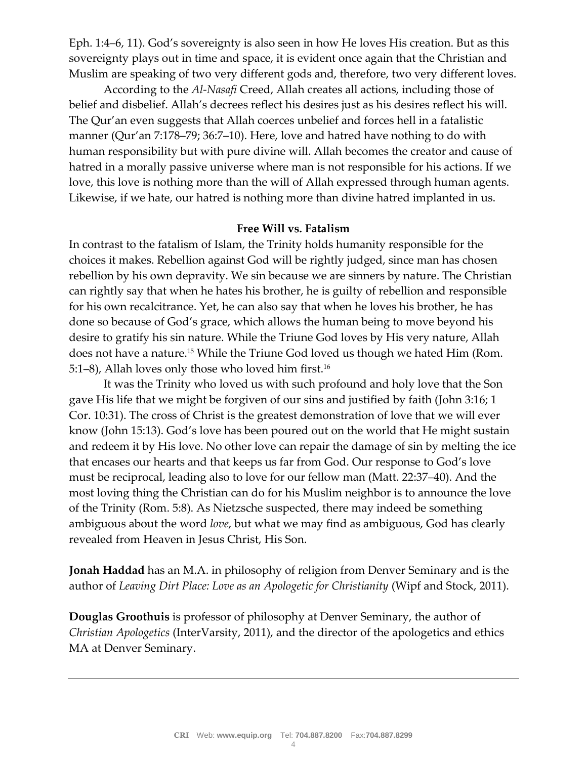Eph. 1:4–6, 11). God's sovereignty is also seen in how He loves His creation. But as this sovereignty plays out in time and space, it is evident once again that the Christian and Muslim are speaking of two very different gods and, therefore, two very different loves.

According to the *Al-Nasafi* Creed, Allah creates all actions, including those of belief and disbelief. Allah's decrees reflect his desires just as his desires reflect his will. The Qur'an even suggests that Allah coerces unbelief and forces hell in a fatalistic manner (Qur'an 7:178–79; 36:7–10). Here, love and hatred have nothing to do with human responsibility but with pure divine will. Allah becomes the creator and cause of hatred in a morally passive universe where man is not responsible for his actions. If we love, this love is nothing more than the will of Allah expressed through human agents. Likewise, if we hate, our hatred is nothing more than divine hatred implanted in us.

#### **Free Will vs. Fatalism**

In contrast to the fatalism of Islam, the Trinity holds humanity responsible for the choices it makes. Rebellion against God will be rightly judged, since man has chosen rebellion by his own depravity. We sin because we are sinners by nature. The Christian can rightly say that when he hates his brother, he is guilty of rebellion and responsible for his own recalcitrance. Yet, he can also say that when he loves his brother, he has done so because of God's grace, which allows the human being to move beyond his desire to gratify his sin nature. While the Triune God loves by His very nature, Allah does not have a nature.<sup>15</sup> While the Triune God loved us though we hated Him (Rom. 5:1–8), Allah loves only those who loved him first.<sup>16</sup>

It was the Trinity who loved us with such profound and holy love that the Son gave His life that we might be forgiven of our sins and justified by faith (John 3:16; 1 Cor. 10:31). The cross of Christ is the greatest demonstration of love that we will ever know (John 15:13). God's love has been poured out on the world that He might sustain and redeem it by His love. No other love can repair the damage of sin by melting the ice that encases our hearts and that keeps us far from God. Our response to God's love must be reciprocal, leading also to love for our fellow man (Matt. 22:37–40). And the most loving thing the Christian can do for his Muslim neighbor is to announce the love of the Trinity (Rom. 5:8). As Nietzsche suspected, there may indeed be something ambiguous about the word *love*, but what we may find as ambiguous, God has clearly revealed from Heaven in Jesus Christ, His Son.

**Jonah Haddad** has an M.A. in philosophy of religion from Denver Seminary and is the author of *Leaving Dirt Place: Love as an Apologetic for Christianity* (Wipf and Stock, 2011).

**Douglas Groothuis** is professor of philosophy at Denver Seminary, the author of *Christian Apologetics* (InterVarsity, 2011), and the director of the apologetics and ethics MA at Denver Seminary.